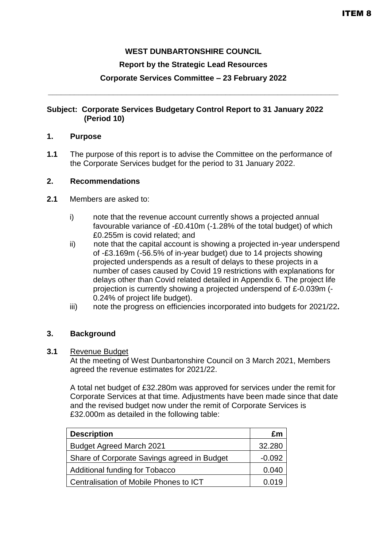# **WEST DUNBARTONSHIRE COUNCIL**

#### **Report by the Strategic Lead Resources**

# **Corporate Services Committee – 23 February 2022**

**\_\_\_\_\_\_\_\_\_\_\_\_\_\_\_\_\_\_\_\_\_\_\_\_\_\_\_\_\_\_\_\_\_\_\_\_\_\_\_\_\_\_\_\_\_\_\_\_\_\_\_\_\_\_\_\_\_\_\_\_\_\_\_\_\_\_\_**

# **Subject: Corporate Services Budgetary Control Report to 31 January 2022 (Period 10)**

#### **1. Purpose**

**1.1** The purpose of this report is to advise the Committee on the performance of the Corporate Services budget for the period to 31 January 2022.

#### **2. Recommendations**

- **2.1** Members are asked to:
	- i) note that the revenue account currently shows a projected annual favourable variance of -£0.410m (-1.28% of the total budget) of which £0.255m is covid related; and
	- ii) note that the capital account is showing a projected in-year underspend of -£3.169m (-56.5% of in-year budget) due to 14 projects showing projected underspends as a result of delays to these projects in a number of cases caused by Covid 19 restrictions with explanations for delays other than Covid related detailed in Appendix 6. The project life projection is currently showing a projected underspend of £-0.039m (- 0.24% of project life budget).
	- iii) note the progress on efficiencies incorporated into budgets for 2021/22**.**

#### **3. Background**

#### **3.1** Revenue Budget

At the meeting of West Dunbartonshire Council on 3 March 2021, Members agreed the revenue estimates for 2021/22.

A total net budget of £32.280m was approved for services under the remit for Corporate Services at that time. Adjustments have been made since that date and the revised budget now under the remit of Corporate Services is £32.000m as detailed in the following table:

| <b>Description</b>                          | £m       |
|---------------------------------------------|----------|
| <b>Budget Agreed March 2021</b>             | 32.280   |
| Share of Corporate Savings agreed in Budget | $-0.092$ |
| Additional funding for Tobacco              | 0.040    |
| Centralisation of Mobile Phones to ICT      | 0.019    |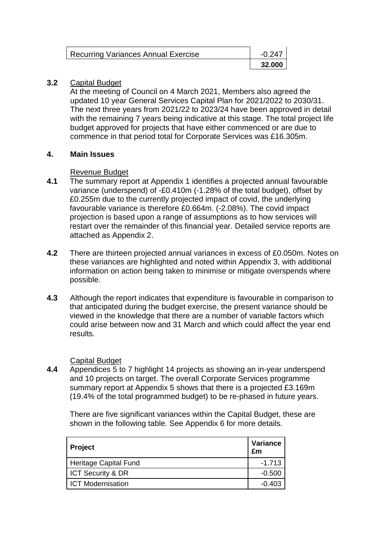| <b>Recurring Variances Annual Exercise</b> | $-0.247$ |
|--------------------------------------------|----------|
|                                            | 32,000   |

# **3.2** Capital Budget

At the meeting of Council on 4 March 2021, Members also agreed the updated 10 year General Services Capital Plan for 2021/2022 to 2030/31. The next three years from 2021/22 to 2023/24 have been approved in detail with the remaining 7 years being indicative at this stage. The total project life budget approved for projects that have either commenced or are due to commence in that period total for Corporate Services was £16.305m.

# **4. Main Issues**

# Revenue Budget

- **4.1** The summary report at Appendix 1 identifies a projected annual favourable variance (underspend) of -£0.410m (-1.28% of the total budget), offset by £0.255m due to the currently projected impact of covid, the underlying favourable variance is therefore £0.664m. (-2.08%). The covid impact projection is based upon a range of assumptions as to how services will restart over the remainder of this financial year. Detailed service reports are attached as Appendix 2.
- **4.2** There are thirteen projected annual variances in excess of £0.050m. Notes on these variances are highlighted and noted within Appendix 3, with additional information on action being taken to minimise or mitigate overspends where possible.
- **4.3** Although the report indicates that expenditure is favourable in comparison to that anticipated during the budget exercise, the present variance should be viewed in the knowledge that there are a number of variable factors which could arise between now and 31 March and which could affect the year end results.

# Capital Budget

**4.4** Appendices 5 to 7 highlight 14 projects as showing an in-year underspend and 10 projects on target. The overall Corporate Services programme summary report at Appendix 5 shows that there is a projected £3.169m (19.4% of the total programmed budget) to be re-phased in future years.

There are five significant variances within the Capital Budget, these are shown in the following table. See Appendix 6 for more details.

| Project                  | Variance<br>£m |
|--------------------------|----------------|
| Heritage Capital Fund    | $-1.713$       |
| ICT Security & DR        | $-0.500$       |
| <b>ICT Modernisation</b> | $-0.403$       |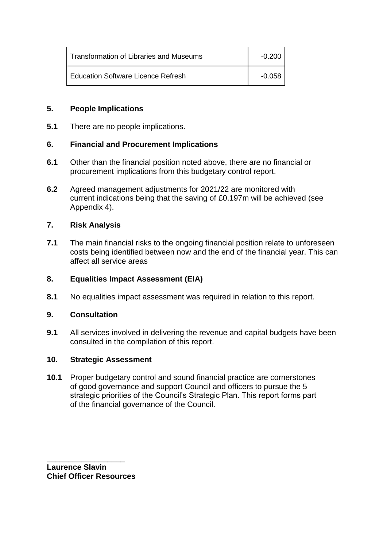| Transformation of Libraries and Museums   | $-0.200$ |
|-------------------------------------------|----------|
| <b>Education Software Licence Refresh</b> | -0.058   |

# **5. People Implications**

**5.1** There are no people implications.

# **6. Financial and Procurement Implications**

- **6.1** Other than the financial position noted above, there are no financial or procurement implications from this budgetary control report.
- **6.2** Agreed management adjustments for 2021/22 are monitored with current indications being that the saving of £0.197m will be achieved (see Appendix 4).

# **7. Risk Analysis**

**7.1** The main financial risks to the ongoing financial position relate to unforeseen costs being identified between now and the end of the financial year. This can affect all service areas

#### **8. Equalities Impact Assessment (EIA)**

**8.1** No equalities impact assessment was required in relation to this report.

#### **9. Consultation**

**9.1** All services involved in delivering the revenue and capital budgets have been consulted in the compilation of this report.

# **10. Strategic Assessment**

**10.1** Proper budgetary control and sound financial practice are cornerstones of good governance and support Council and officers to pursue the 5 strategic priorities of the Council's Strategic Plan. This report forms part of the financial governance of the Council.

\_\_\_\_\_\_\_\_\_\_\_\_\_\_\_\_\_\_